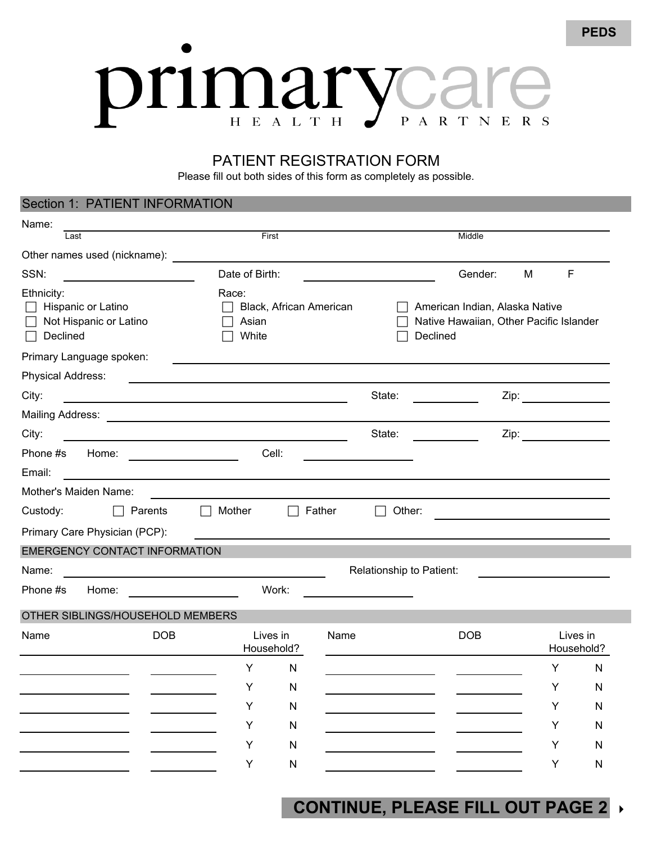## Orimary VC PARTNERS

## PATIENT REGISTRATION FORM

Please fill out both sides of this form as completely as possible.

## Section 1: PATIENT INFORMATION Name: Last First Middle Other names used (nickname): SSN: SSN: Contract of Birth: Contract of Birth: Contract of Birth: Gender: M F Ethnicity: Race: Hispanic or Latino **Black, African American Communist Contract American Indian, Alaska Native** □ Not Hispanic or Latino □ Asian Native Hawaiian, Other Pacific Islander Declined **Declined Declined Declined Declined Declined** Primary Language spoken: Physical Address: City: State: Zip: Mailing Address: **Mailing Address:** We have a strong with the structure of the structure of the structure of the structure of the structure of the structure of the structure of the structure of the structure of the structu City: State: Zip: Phone #s Home: Cell: Email: Mother's Maiden Name: Custody: **Dexille Father Parents Dexile Mother Dexile Father Dexile Other:** Primary Care Physician (PCP): EMERGENCY CONTACT INFORMATION Name: Name: Relationship to Patient: Name: Relationship to Patient: Relationship to Patient: Phone #s Home: Work: OTHER SIBLINGS/HOUSEHOLD MEMBERS Name DOB Lives in Name DOB Lives in Household? Household? YN YN YN YN YN YN YN YN YN YN YN YN

## **CONTINUE, PLEASE FILL OUT PAGE 2**